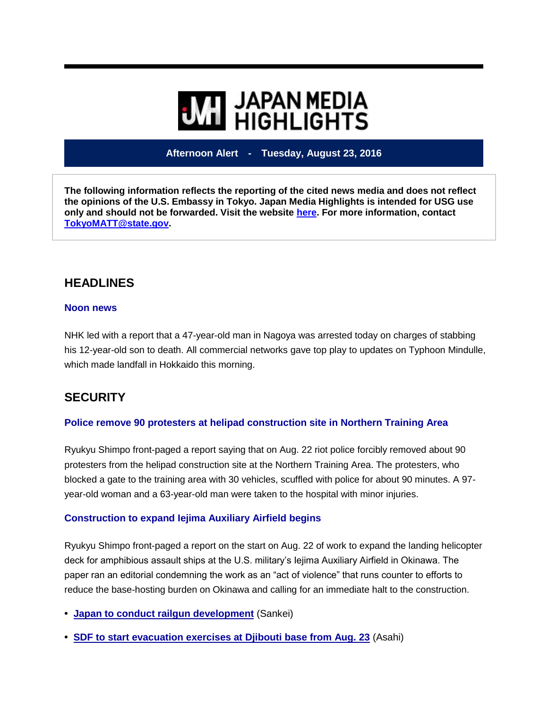# **WILL HIGHLIGHTS**

## **Afternoon Alert - Tuesday, August 23, 2016**

**The following information reflects the reporting of the cited news media and does not reflect the opinions of the U.S. Embassy in Tokyo. Japan Media Highlights is intended for USG use only and should not be forwarded. Visit the website [here.](https://jmh.usembassy.gov/) For more information, contact [TokyoMATT@state.gov.](mailto:TokyoMATT@state.gov)**

# **HEADLINES**

## **Noon news**

NHK led with a report that a 47-year-old man in Nagoya was arrested today on charges of stabbing his 12-year-old son to death. All commercial networks gave top play to updates on Typhoon Mindulle, which made landfall in Hokkaido this morning.

# **SECURITY**

## **Police remove 90 protesters at helipad construction site in Northern Training Area**

Ryukyu Shimpo front-paged a report saying that on Aug. 22 riot police forcibly removed about 90 protesters from the helipad construction site at the Northern Training Area. The protesters, who blocked a gate to the training area with 30 vehicles, scuffled with police for about 90 minutes. A 97 year-old woman and a 63-year-old man were taken to the hospital with minor injuries.

## **Construction to expand Iejima Auxiliary Airfield begins**

Ryukyu Shimpo front-paged a report on the start on Aug. 22 of work to expand the landing helicopter deck for amphibious assault ships at the U.S. military's Iejima Auxiliary Airfield in Okinawa. The paper ran an editorial condemning the work as an "act of violence" that runs counter to efforts to reduce the base-hosting burden on Okinawa and calling for an immediate halt to the construction.

- **• Japan to conduct railgun [development](http://redirect.state.sbu/?url=https://jmh.usembassy.gov/201608234639/)** (Sankei)
- **• SDF to start [evacuation](http://redirect.state.sbu/?url=https://jmh.usembassy.gov/201608234644/) exercises at Djibouti base from Aug. 23** (Asahi)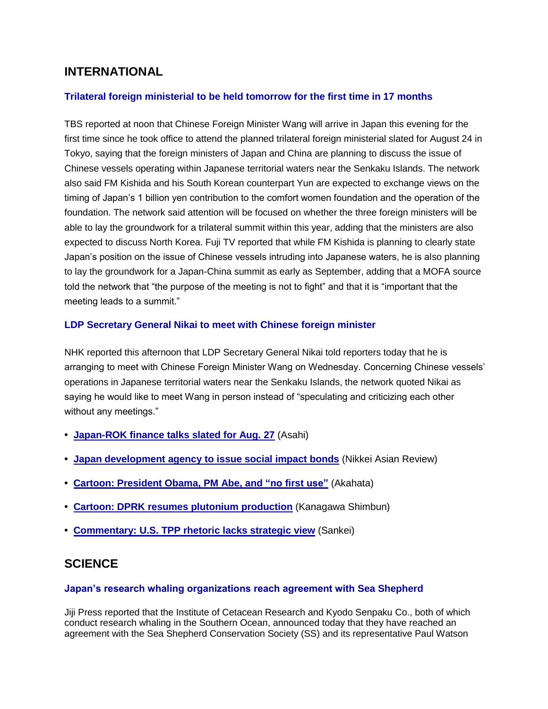# **INTERNATIONAL**

## **Trilateral foreign ministerial to be held tomorrow for the first time in 17 months**

TBS reported at noon that Chinese Foreign Minister Wang will arrive in Japan this evening for the first time since he took office to attend the planned trilateral foreign ministerial slated for August 24 in Tokyo, saying that the foreign ministers of Japan and China are planning to discuss the issue of Chinese vessels operating within Japanese territorial waters near the Senkaku Islands. The network also said FM Kishida and his South Korean counterpart Yun are expected to exchange views on the timing of Japan's 1 billion yen contribution to the comfort women foundation and the operation of the foundation. The network said attention will be focused on whether the three foreign ministers will be able to lay the groundwork for a trilateral summit within this year, adding that the ministers are also expected to discuss North Korea. Fuji TV reported that while FM Kishida is planning to clearly state Japan's position on the issue of Chinese vessels intruding into Japanese waters, he is also planning to lay the groundwork for a Japan-China summit as early as September, adding that a MOFA source told the network that "the purpose of the meeting is not to fight" and that it is "important that the meeting leads to a summit."

#### **LDP Secretary General Nikai to meet with Chinese foreign minister**

NHK reported this afternoon that LDP Secretary General Nikai told reporters today that he is arranging to meet with Chinese Foreign Minister Wang on Wednesday. Concerning Chinese vessels' operations in Japanese territorial waters near the Senkaku Islands, the network quoted Nikai as saying he would like to meet Wang in person instead of "speculating and criticizing each other without any meetings."

- **• [Japan-ROK](http://redirect.state.sbu/?url=https://jmh.usembassy.gov/201608234652/) finance talks slated for Aug. 27** (Asahi)
- **• Japan [development](http://redirect.state.sbu/?url=https://jmh.usembassy.gov/201608234645/) agency to issue social impact bonds** (Nikkei Asian Review)
- **• Cartoon: [President](http://redirect.state.sbu/?url=https://jmh.usembassy.gov/201608234648/) Obama, PM Abe, and "no first use"** (Akahata)
- **• Cartoon: DPRK resumes plutonium [production](http://redirect.state.sbu/?url=https://jmh.usembassy.gov/201608234647/)** (Kanagawa Shimbun)
- **• [Commentary:](http://redirect.state.sbu/?url=https://jmh.usembassy.gov/201608234600/) U.S. TPP rhetoric lacks strategic view** (Sankei)

## **SCIENCE**

#### **Japan's research whaling organizations reach agreement with Sea Shepherd**

Jiji Press reported that the Institute of Cetacean Research and Kyodo Senpaku Co., both of which conduct research whaling in the Southern Ocean, announced today that they have reached an agreement with the Sea Shepherd Conservation Society (SS) and its representative Paul Watson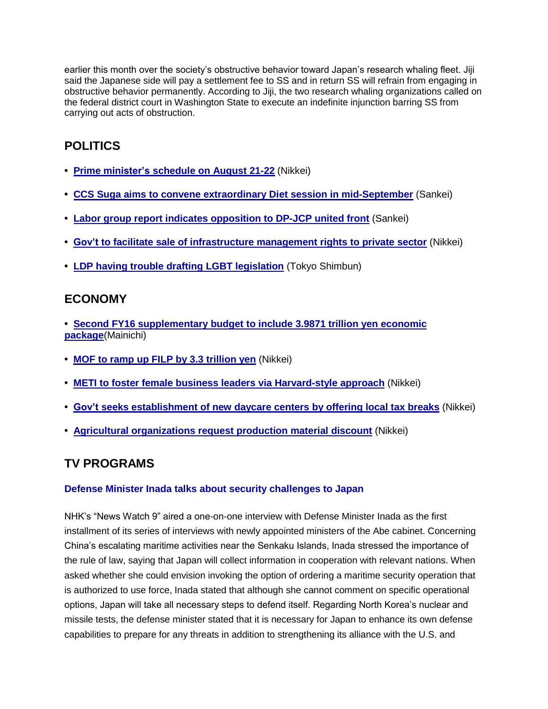earlier this month over the society's obstructive behavior toward Japan's research whaling fleet. Jiji said the Japanese side will pay a settlement fee to SS and in return SS will refrain from engaging in obstructive behavior permanently. According to Jiji, the two research whaling organizations called on the federal district court in Washington State to execute an indefinite injunction barring SS from carrying out acts of obstruction.

# **POLITICS**

- **• Prime [minister's](http://redirect.state.sbu/?url=https://jmh.usembassy.gov/201608234629/) schedule on August 21-22** (Nikkei)
- **• CCS Suga aims to convene extraordinary Diet session in [mid-September](http://redirect.state.sbu/?url=https://jmh.usembassy.gov/201608234668/)** (Sankei)
- **• Labor group report indicates [opposition](http://redirect.state.sbu/?url=https://jmh.usembassy.gov/201608234662/) to DP-JCP united front** (Sankei)
- **• Gov't to facilitate sale of [infrastructure](http://redirect.state.sbu/?url=https://jmh.usembassy.gov/201608234669/) management rights to private sector** (Nikkei)
- **• LDP having trouble drafting LGBT [legislation](http://redirect.state.sbu/?url=https://jmh.usembassy.gov/201608234666/)** (Tokyo Shimbun)

# **ECONOMY**

- **• Second FY16 [supplementary](http://redirect.state.sbu/?url=https://jmh.usembassy.gov/201608234650/) budget to include 3.9871 trillion yen economic [package](http://redirect.state.sbu/?url=https://jmh.usembassy.gov/201608234650/)**(Mainichi)
- **• MOF to ramp up FILP by 3.3 [trillion](http://redirect.state.sbu/?url=https://jmh.usembassy.gov/201608234653/) yen** (Nikkei)
- **• METI to foster female business leaders via [Harvard-style](http://redirect.state.sbu/?url=https://jmh.usembassy.gov/201608234643/) approach** (Nikkei)
- **• Gov't seeks [establishment](http://redirect.state.sbu/?url=https://jmh.usembassy.gov/201608234672/) of new daycare centers by offering local tax breaks** (Nikkei)
- **• Agricultural [organizations](http://redirect.state.sbu/?url=https://jmh.usembassy.gov/201608234637/) request production material discount** (Nikkei)

# **TV PROGRAMS**

## **Defense Minister Inada talks about security challenges to Japan**

NHK's "News Watch 9" aired a one-on-one interview with Defense Minister Inada as the first installment of its series of interviews with newly appointed ministers of the Abe cabinet. Concerning China's escalating maritime activities near the Senkaku Islands, Inada stressed the importance of the rule of law, saying that Japan will collect information in cooperation with relevant nations. When asked whether she could envision invoking the option of ordering a maritime security operation that is authorized to use force, Inada stated that although she cannot comment on specific operational options, Japan will take all necessary steps to defend itself. Regarding North Korea's nuclear and missile tests, the defense minister stated that it is necessary for Japan to enhance its own defense capabilities to prepare for any threats in addition to strengthening its alliance with the U.S. and